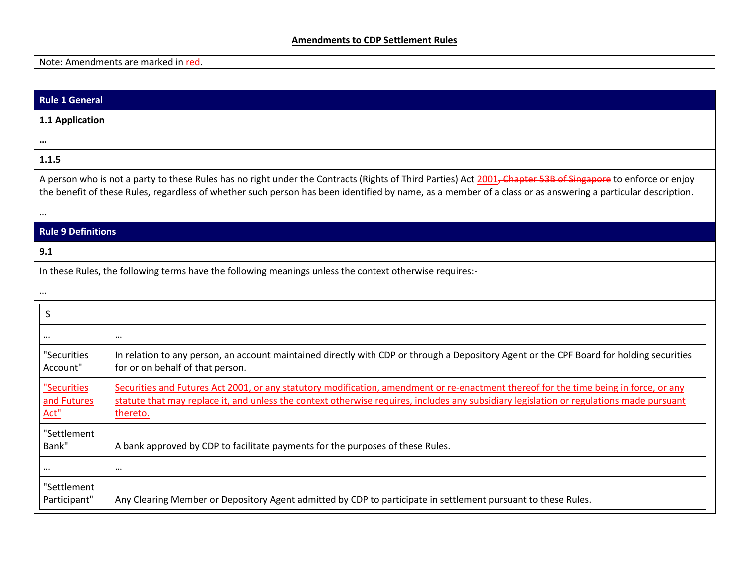## **Amendments to CDP Settlement Rules**

Note: Amendments are marked in red.

| <b>Rule 1 General</b>                                                                                                                                                                                                                                                                                                       |                                                                                                                                                                                                                                                                                               |  |
|-----------------------------------------------------------------------------------------------------------------------------------------------------------------------------------------------------------------------------------------------------------------------------------------------------------------------------|-----------------------------------------------------------------------------------------------------------------------------------------------------------------------------------------------------------------------------------------------------------------------------------------------|--|
| 1.1 Application                                                                                                                                                                                                                                                                                                             |                                                                                                                                                                                                                                                                                               |  |
| $\cdots$                                                                                                                                                                                                                                                                                                                    |                                                                                                                                                                                                                                                                                               |  |
| 1.1.5                                                                                                                                                                                                                                                                                                                       |                                                                                                                                                                                                                                                                                               |  |
| A person who is not a party to these Rules has no right under the Contracts (Rights of Third Parties) Act 2001, Chapter 53B of Singapore to enforce or enjoy<br>the benefit of these Rules, regardless of whether such person has been identified by name, as a member of a class or as answering a particular description. |                                                                                                                                                                                                                                                                                               |  |
|                                                                                                                                                                                                                                                                                                                             |                                                                                                                                                                                                                                                                                               |  |
| <b>Rule 9 Definitions</b>                                                                                                                                                                                                                                                                                                   |                                                                                                                                                                                                                                                                                               |  |
| 9.1                                                                                                                                                                                                                                                                                                                         |                                                                                                                                                                                                                                                                                               |  |
| In these Rules, the following terms have the following meanings unless the context otherwise requires:-                                                                                                                                                                                                                     |                                                                                                                                                                                                                                                                                               |  |
|                                                                                                                                                                                                                                                                                                                             |                                                                                                                                                                                                                                                                                               |  |
| S                                                                                                                                                                                                                                                                                                                           |                                                                                                                                                                                                                                                                                               |  |
|                                                                                                                                                                                                                                                                                                                             | $\cdots$                                                                                                                                                                                                                                                                                      |  |
| "Securities<br>Account"                                                                                                                                                                                                                                                                                                     | In relation to any person, an account maintained directly with CDP or through a Depository Agent or the CPF Board for holding securities<br>for or on behalf of that person.                                                                                                                  |  |
| "Securities<br>and Futures<br>Act"                                                                                                                                                                                                                                                                                          | Securities and Futures Act 2001, or any statutory modification, amendment or re-enactment thereof for the time being in force, or any<br>statute that may replace it, and unless the context otherwise requires, includes any subsidiary legislation or regulations made pursuant<br>thereto. |  |
| "Settlement<br>Bank"                                                                                                                                                                                                                                                                                                        | A bank approved by CDP to facilitate payments for the purposes of these Rules.                                                                                                                                                                                                                |  |
|                                                                                                                                                                                                                                                                                                                             | $\cdots$                                                                                                                                                                                                                                                                                      |  |
| "Settlement<br>Participant"                                                                                                                                                                                                                                                                                                 | Any Clearing Member or Depository Agent admitted by CDP to participate in settlement pursuant to these Rules.                                                                                                                                                                                 |  |